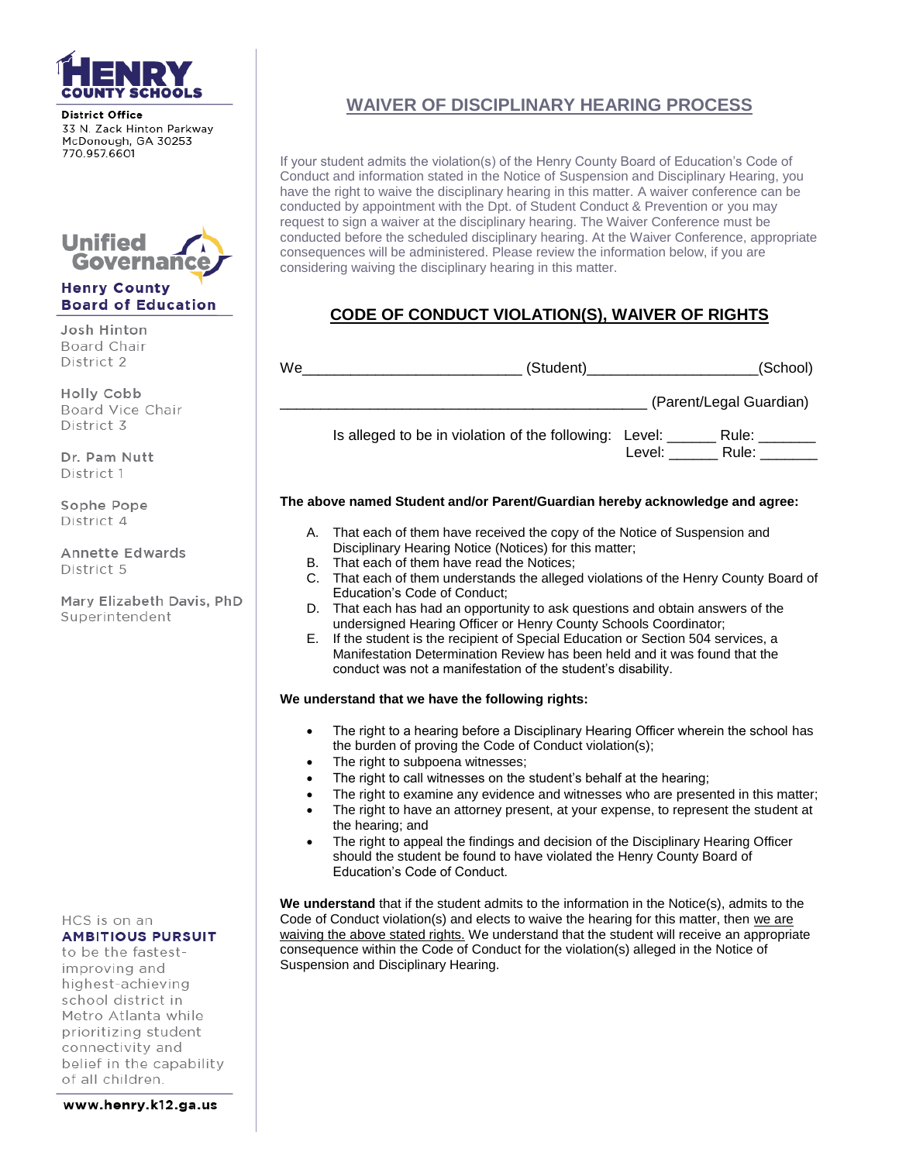

**District Office** 33 N. Zack Hinton Parkway McDonough, GA 30253 770 957 6601



### **Henry County Board of Education**

Josh Hinton Board Chair District 2

Holly Cobb Board Vice Chair District 3

Dr. Pam Nutt District 1

Sophe Pope District 4

**Annette Edwards** District 5

Mary Elizabeth Davis, PhD Superintendent

HCS is on an **AMBITIOUS PURSUIT** 

to be the fastestimproving and highest-achieving school district in Metro Atlanta while prioritizing student connectivity and belief in the capability of all children.

www.henry.k12.ga.us

# **WAIVER OF DISCIPLINARY HEARING PROCESS**

If your student admits the violation(s) of the Henry County Board of Education's Code of Conduct and information stated in the Notice of Suspension and Disciplinary Hearing, you have the right to waive the disciplinary hearing in this matter. A waiver conference can be conducted by appointment with the Dpt. of Student Conduct & Prevention or you may request to sign a waiver at the disciplinary hearing. The Waiver Conference must be conducted before the scheduled disciplinary hearing. At the Waiver Conference, appropriate consequences will be administered. Please review the information below, if you are considering waiving the disciplinary hearing in this matter.

# **CODE OF CONDUCT VIOLATION(S), WAIVER OF RIGHTS**

| We | (Student)                                              |        | (School)                |
|----|--------------------------------------------------------|--------|-------------------------|
|    |                                                        |        | (Parent/Legal Guardian) |
|    | Is alleged to be in violation of the following: Level: | Level: | Rule:<br>Rule:          |

### **The above named Student and/or Parent/Guardian hereby acknowledge and agree:**

- A. That each of them have received the copy of the Notice of Suspension and Disciplinary Hearing Notice (Notices) for this matter;
- B. That each of them have read the Notices;
- C. That each of them understands the alleged violations of the Henry County Board of Education's Code of Conduct;
- D. That each has had an opportunity to ask questions and obtain answers of the undersigned Hearing Officer or Henry County Schools Coordinator;
- E. If the student is the recipient of Special Education or Section 504 services, a Manifestation Determination Review has been held and it was found that the conduct was not a manifestation of the student's disability.

#### **We understand that we have the following rights:**

- The right to а hearing before а Disciplinary Hearing Officer wherein the school has the burden of proving the Code of Conduct violation(s);
- The right to subpoena witnesses;
- The right to call witnesses on the student's behalf at the hearing;
- The right to examine any evidence and witnesses who are presented in this matter; The right to have an attorney present, at your expense, to represent the student at
- the hearing; and
- The right to appeal the findings and decision of the Disciplinary Hearing Officer should the student be found to have violated the Henry County Board of Education's Code of Conduct.

**We understand** that if the student admits to the information in the Notice(s), admits to the Code of Conduct violation(s) and elects to waive the hearing for this matter, then we are waiving the above stated rights. We understand that the student will receive an appropriate consequence within the Code of Conduct for the violation(s) alleged in the Notice of Suspension and Disciplinary Hearing.